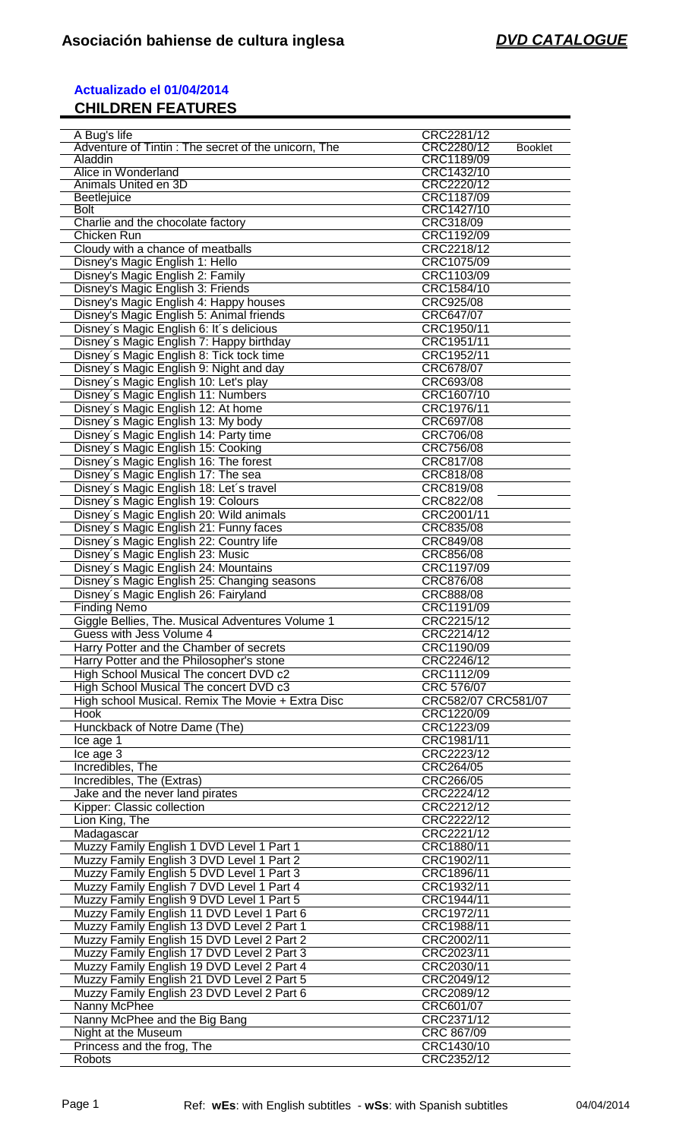## **Actualizado el 01/04/2014 CHILDREN FEATURES**

| A Bug's life                                        | CRC2281/12                   |
|-----------------------------------------------------|------------------------------|
| Adventure of Tintin: The secret of the unicorn, The | CRC2280/12<br><b>Booklet</b> |
| Aladdin                                             | CRC1189/09                   |
|                                                     |                              |
| Alice in Wonderland                                 | CRC1432/10                   |
| Animals United en 3D                                | CRC2220/12                   |
| <b>Beetlejuice</b>                                  | CRC1187/09                   |
|                                                     |                              |
| <b>Bolt</b>                                         | CRC1427/10                   |
| Charlie and the chocolate factory                   | CRC318/09                    |
| Chicken Run                                         | CRC1192/09                   |
|                                                     |                              |
| Cloudy with a chance of meatballs                   | CRC2218/12                   |
| Disney's Magic English 1: Hello                     | CRC1075/09                   |
| Disney's Magic English 2: Family                    | CRC1103/09                   |
|                                                     |                              |
| Disney's Magic English 3: Friends                   | CRC1584/10                   |
| Disney's Magic English 4: Happy houses              | CRC925/08                    |
| Disney's Magic English 5: Animal friends            | CRC647/07                    |
|                                                     |                              |
| Disney's Magic English 6: It's delicious            | CRC1950/11                   |
| Disney's Magic English 7: Happy birthday            | CRC1951/11                   |
| Disney's Magic English 8: Tick tock time            | CRC1952/11                   |
|                                                     |                              |
| Disney's Magic English 9: Night and day             | CRC678/07                    |
| Disney's Magic English 10: Let's play               | CRC693/08                    |
|                                                     | CRC1607/10                   |
| Disney's Magic English 11: Numbers                  |                              |
| Disney's Magic English 12: At home                  | CRC1976/11                   |
| Disney's Magic English 13: My body                  | CRC697/08                    |
|                                                     |                              |
| Disney's Magic English 14: Party time               | CRC706/08                    |
| Disney's Magic English 15: Cooking                  | CRC756/08                    |
| Disney's Magic English 16: The forest               | CRC817/08                    |
|                                                     |                              |
| Disney's Magic English 17: The sea                  | CRC818/08                    |
| Disney's Magic English 18: Let's travel             | CRC819/08                    |
| Disney's Magic English 19: Colours                  | CRC822/08                    |
|                                                     |                              |
| Disney's Magic English 20: Wild animals             | CRC2001/11                   |
| Disney's Magic English 21: Funny faces              | CRC835/08                    |
| Disney's Magic English 22: Country life             | CRC849/08                    |
|                                                     |                              |
| Disney's Magic English 23: Music                    | CRC856/08                    |
| Disney's Magic English 24: Mountains                | CRC1197/09                   |
|                                                     | CRC876/08                    |
|                                                     |                              |
| Disney's Magic English 25: Changing seasons         |                              |
| Disney's Magic English 26: Fairyland                | CRC888/08                    |
|                                                     |                              |
| <b>Finding Nemo</b>                                 | CRC1191/09                   |
| Giggle Bellies, The. Musical Adventures Volume 1    | CRC2215/12                   |
| Guess with Jess Volume 4                            | CRC2214/12                   |
|                                                     |                              |
| Harry Potter and the Chamber of secrets             | CRC1190/09                   |
| Harry Potter and the Philosopher's stone            | CRC2246/12                   |
|                                                     | CRC1112/09                   |
| High School Musical The concert DVD c2              |                              |
| High School Musical The concert DVD c3              | CRC 576/07                   |
| High school Musical. Remix The Movie + Extra Disc   | CRC582/07 CRC581/07          |
| Hook                                                | CRC1220/09                   |
|                                                     |                              |
| Hunckback of Notre Dame (The)                       | CRC1223/09                   |
| Ice age 1                                           | CRC1981/11                   |
|                                                     | CRC2223/12                   |
| Ice age 3                                           |                              |
| Incredibles, The                                    | CRC264/05                    |
| Incredibles, The (Extras)                           | CRC266/05                    |
|                                                     |                              |
| Jake and the never land pirates                     | CRC2224/12                   |
| Kipper: Classic collection                          | CRC2212/12                   |
| Lion King, The                                      | CRC2222/12                   |
|                                                     |                              |
| Madagascar                                          | CRC2221/12                   |
| Muzzy Family English 1 DVD Level 1 Part 1           | CRC1880/11                   |
| Muzzy Family English 3 DVD Level 1 Part 2           | CRC1902/11                   |
|                                                     |                              |
| Muzzy Family English 5 DVD Level 1 Part 3           | CRC1896/11                   |
| Muzzy Family English 7 DVD Level 1 Part 4           | CRC1932/11                   |
| Muzzy Family English 9 DVD Level 1 Part 5           | CRC1944/11                   |
|                                                     |                              |
| Muzzy Family English 11 DVD Level 1 Part 6          | CRC1972/11                   |
| Muzzy Family English 13 DVD Level 2 Part 1          | CRC1988/11                   |
| Muzzy Family English 15 DVD Level 2 Part 2          | CRC2002/11                   |
|                                                     |                              |
| Muzzy Family English 17 DVD Level 2 Part 3          | CRC2023/11                   |
| Muzzy Family English 19 DVD Level 2 Part 4          | CRC2030/11                   |
| Muzzy Family English 21 DVD Level 2 Part 5          | CRC2049/12                   |
|                                                     |                              |
| Muzzy Family English 23 DVD Level 2 Part 6          | CRC2089/12                   |
| Nanny McPhee                                        | CRC601/07                    |
| Nanny McPhee and the Big Bang                       | CRC2371/12                   |
|                                                     |                              |
| Night at the Museum                                 | CRC 867/09                   |
| Princess and the frog, The<br>Robots                | CRC1430/10<br>CRC2352/12     |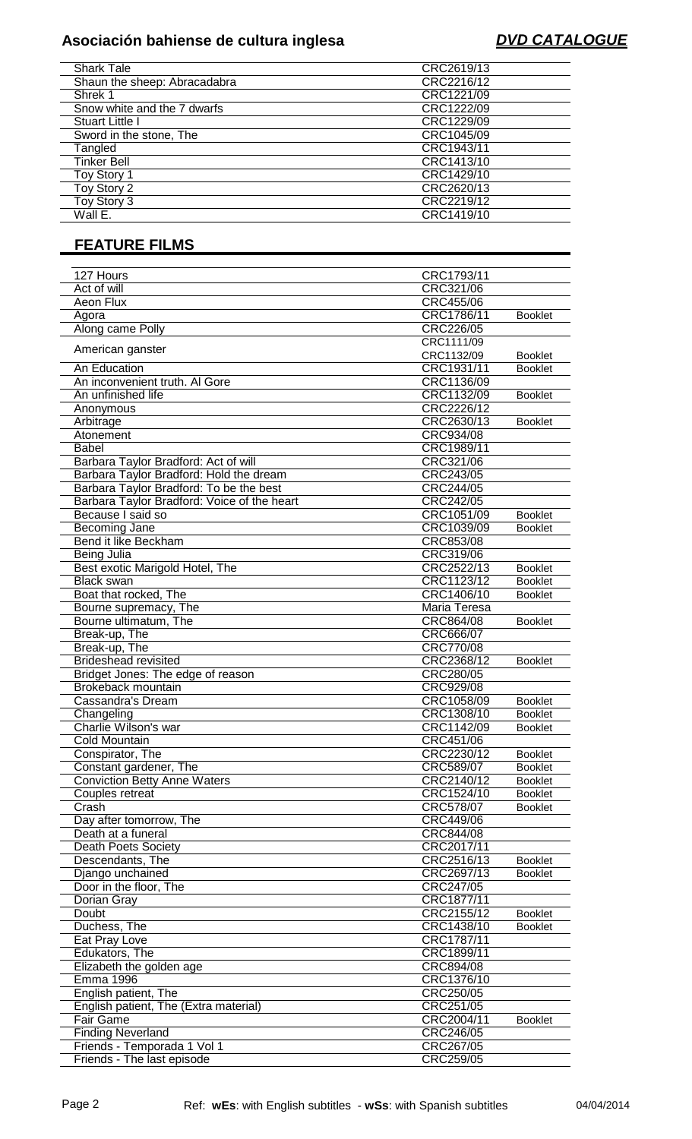# **Asociación bahiense de cultura inglesa DVD CATALOGUE**

| <b>Shark Tale</b>            | CRC2619/13 |
|------------------------------|------------|
| Shaun the sheep: Abracadabra | CRC2216/12 |
| Shrek 1                      | CRC1221/09 |
| Snow white and the 7 dwarfs  | CRC1222/09 |
| Stuart Little I              | CRC1229/09 |
| Sword in the stone, The      | CRC1045/09 |
| Tangled                      | CRC1943/11 |
| <b>Tinker Bell</b>           | CRC1413/10 |
| Toy Story 1                  | CRC1429/10 |
| Toy Story 2                  | CRC2620/13 |
| Toy Story 3                  | CRC2219/12 |
| Wall E.                      | CRC1419/10 |

## **FEATURE FILMS**

| 127 Hours                                   | CRC1793/11   |                |
|---------------------------------------------|--------------|----------------|
| Act of will                                 | CRC321/06    |                |
| Aeon Flux                                   | CRC455/06    |                |
| Agora                                       | CRC1786/11   | <b>Booklet</b> |
| Along came Polly                            | CRC226/05    |                |
|                                             | CRC1111/09   |                |
| American ganster                            | CRC1132/09   | <b>Booklet</b> |
| An Education                                | CRC1931/11   | <b>Booklet</b> |
| An inconvenient truth. Al Gore              | CRC1136/09   |                |
| An unfinished life                          | CRC1132/09   | <b>Booklet</b> |
| Anonymous                                   | CRC2226/12   |                |
| Arbitrage                                   | CRC2630/13   | <b>Booklet</b> |
| Atonement                                   | CRC934/08    |                |
| <b>Babel</b>                                | CRC1989/11   |                |
| Barbara Taylor Bradford: Act of will        | CRC321/06    |                |
| Barbara Taylor Bradford: Hold the dream     | CRC243/05    |                |
| Barbara Taylor Bradford: To be the best     | CRC244/05    |                |
| Barbara Taylor Bradford: Voice of the heart | CRC242/05    |                |
| Because I said so                           | CRC1051/09   | <b>Booklet</b> |
| Becoming Jane                               | CRC1039/09   | <b>Booklet</b> |
| Bend it like Beckham                        | CRC853/08    |                |
| Being Julia                                 | CRC319/06    |                |
| Best exotic Marigold Hotel, The             | CRC2522/13   | <b>Booklet</b> |
| <b>Black swan</b>                           | CRC1123/12   | <b>Booklet</b> |
| Boat that rocked, The                       | CRC1406/10   | <b>Booklet</b> |
| Bourne supremacy, The                       | Maria Teresa |                |
| Bourne ultimatum, The                       | CRC864/08    | <b>Booklet</b> |
| Break-up, The                               | CRC666/07    |                |
| Break-up, The                               | CRC770/08    |                |
| <b>Brideshead revisited</b>                 | CRC2368/12   | <b>Booklet</b> |
| Bridget Jones: The edge of reason           | CRC280/05    |                |
| Brokeback mountain                          | CRC929/08    |                |
| Cassandra's Dream                           | CRC1058/09   | <b>Booklet</b> |
| Changeling                                  | CRC1308/10   | <b>Booklet</b> |
| Charlie Wilson's war                        | CRC1142/09   | <b>Booklet</b> |
| <b>Cold Mountain</b>                        | CRC451/06    |                |
| Conspirator, The                            | CRC2230/12   | <b>Booklet</b> |
| Constant gardener, The                      | CRC589/07    | <b>Booklet</b> |
| <b>Conviction Betty Anne Waters</b>         | CRC2140/12   | <b>Booklet</b> |
| Couples retreat                             | CRC1524/10   | <b>Booklet</b> |
| Crash                                       | CRC578/07    | <b>Booklet</b> |
| Day after tomorrow, The                     | CRC449/06    |                |
| Death at a funeral                          | CRC844/08    |                |
| <b>Death Poets Society</b>                  | CRC2017/11   |                |
| Descendants, The                            | CRC2516/13   | <b>Booklet</b> |
| Django unchained                            | CRC2697/13   | <b>Booklet</b> |
| Door in the floor, The                      | CRC247/05    |                |
| Dorian Gray                                 | CRC1877/11   |                |
| Doubt                                       | CRC2155/12   | <b>Booklet</b> |
| Duchess, The                                | CRC1438/10   | <b>Booklet</b> |
| Eat Pray Love                               | CRC1787/11   |                |
| Edukators, The                              | CRC1899/11   |                |
| Elizabeth the golden age                    | CRC894/08    |                |
| <b>Emma 1996</b>                            | CRC1376/10   |                |
| English patient, The                        | CRC250/05    |                |
| English patient, The (Extra material)       | CRC251/05    |                |
| <b>Fair Game</b>                            | CRC2004/11   | <b>Booklet</b> |
| <b>Finding Neverland</b>                    | CRC246/05    |                |
| Friends - Temporada 1 Vol 1                 | CRC267/05    |                |
| Friends - The last episode                  | CRC259/05    |                |
|                                             |              |                |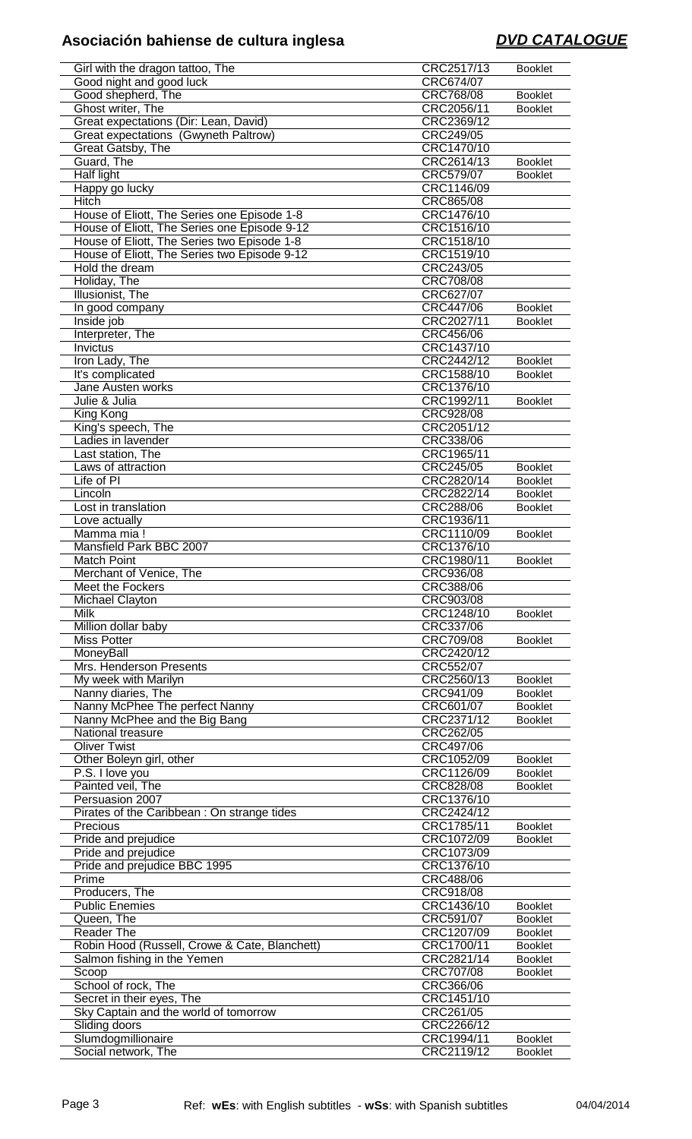# **Asociación bahiense de cultura inglesa DVD CATALOGUE**

| Girl with the dragon tattoo, The              | CRC2517/13               | <b>Booklet</b>                   |
|-----------------------------------------------|--------------------------|----------------------------------|
| Good night and good luck                      | CRC674/07                |                                  |
|                                               |                          |                                  |
| Good shepherd, The                            | CRC768/08                | <b>Booklet</b>                   |
| Ghost writer, The                             | CRC2056/11               | <b>Booklet</b>                   |
|                                               |                          |                                  |
| Great expectations (Dir: Lean, David)         | CRC2369/12               |                                  |
| Great expectations (Gwyneth Paltrow)          | CRC249/05                |                                  |
| Great Gatsby, The                             | CRC1470/10               |                                  |
|                                               |                          |                                  |
| Guard, The                                    | CRC2614/13               | <b>Booklet</b>                   |
| <b>Half light</b>                             | CRC579/07                | <b>Booklet</b>                   |
|                                               |                          |                                  |
| Happy go lucky                                | CRC1146/09               |                                  |
| <b>Hitch</b>                                  | CRC865/08                |                                  |
|                                               |                          |                                  |
| House of Eliott, The Series one Episode 1-8   | CRC1476/10               |                                  |
| House of Eliott, The Series one Episode 9-12  | CRC1516/10               |                                  |
| House of Eliott, The Series two Episode 1-8   | CRC1518/10               |                                  |
|                                               |                          |                                  |
| House of Eliott, The Series two Episode 9-12  | CRC1519/10               |                                  |
| Hold the dream                                | CRC243/05                |                                  |
|                                               |                          |                                  |
| Holiday, The                                  | CRC708/08                |                                  |
| Illusionist, The                              | CRC627/07                |                                  |
|                                               |                          |                                  |
| In good company                               | CRC447/06                | <b>Booklet</b>                   |
| Inside job                                    | CRC2027/11               | <b>Booklet</b>                   |
| Interpreter, The                              | CRC456/06                |                                  |
|                                               |                          |                                  |
| Invictus                                      | CRC1437/10               |                                  |
| Iron Lady, The                                | CRC2442/12               | <b>Booklet</b>                   |
|                                               |                          |                                  |
| It's complicated                              | CRC1588/10               | <b>Booklet</b>                   |
| Jane Austen works                             | CRC1376/10               |                                  |
| Julie & Julia                                 |                          |                                  |
|                                               | CRC1992/11               | <b>Booklet</b>                   |
| King Kong                                     | <b>CRC928/08</b>         |                                  |
| King's speech, The                            | CRC2051/12               |                                  |
|                                               |                          |                                  |
| Ladies in lavender                            | CRC338/06                |                                  |
| Last station, The                             | CRC1965/11               |                                  |
|                                               |                          |                                  |
| Laws of attraction                            | CRC245/05                | <b>Booklet</b>                   |
| Life of PI                                    | CRC2820/14               | <b>Booklet</b>                   |
|                                               |                          |                                  |
| Lincoln                                       | CRC2822/14               | <b>Booklet</b>                   |
| Lost in translation                           | CRC288/06                | <b>Booklet</b>                   |
| Love actually                                 | CRC1936/11               |                                  |
|                                               |                          |                                  |
| Mamma mia!                                    | CRC1110/09               | <b>Booklet</b>                   |
| Mansfield Park BBC 2007                       | CRC1376/10               |                                  |
|                                               |                          |                                  |
| <b>Match Point</b>                            | CRC1980/11               | <b>Booklet</b>                   |
|                                               |                          |                                  |
|                                               |                          |                                  |
| Merchant of Venice, The                       | CRC936/08                |                                  |
| Meet the Fockers                              | CRC388/06                |                                  |
|                                               |                          |                                  |
| Michael Clayton                               | CRC903/08                |                                  |
| <b>Milk</b>                                   | CRC1248/10               | <b>Booklet</b>                   |
| Million dollar baby                           | CRC337/06                |                                  |
|                                               |                          |                                  |
| <b>Miss Potter</b>                            | <b>CRC709/08</b>         | <b>Booklet</b>                   |
| MoneyBall                                     | CRC2420/12               |                                  |
|                                               |                          |                                  |
| Mrs. Henderson Presents                       | CRC552/07                |                                  |
| My week with Marilyn                          | CRC2560/13               | <b>Booklet</b>                   |
|                                               |                          | <b>Booklet</b>                   |
| Nanny diaries, The                            | CRC941/09                |                                  |
| Nanny McPhee The perfect Nanny                | CRC601/07                | <b>Booklet</b>                   |
| Nanny McPhee and the Big Bang                 | CRC2371/12               | <b>Booklet</b>                   |
|                                               |                          |                                  |
| National treasure                             | CRC262/05                |                                  |
| <b>Oliver Twist</b>                           | CRC497/06                |                                  |
| Other Boleyn girl, other                      | CRC1052/09               | <b>Booklet</b>                   |
|                                               |                          |                                  |
| P.S. I love you                               | CRC1126/09               | <b>Booklet</b>                   |
| Painted veil, The                             | CRC828/08                | <b>Booklet</b>                   |
|                                               |                          |                                  |
| Persuasion 2007                               | CRC1376/10               |                                  |
| Pirates of the Caribbean: On strange tides    | CRC2424/12               |                                  |
|                                               |                          |                                  |
| Precious                                      | CRC1785/11               | <b>Booklet</b>                   |
| Pride and prejudice                           | CRC1072/09               | <b>Booklet</b>                   |
| Pride and prejudice                           | CRC1073/09               |                                  |
|                                               |                          |                                  |
| Pride and prejudice BBC 1995                  | CRC1376/10               |                                  |
| Prime                                         | CRC488/06                |                                  |
|                                               |                          |                                  |
| Producers, The                                | CRC918/08                |                                  |
| <b>Public Enemies</b>                         | CRC1436/10               | <b>Booklet</b>                   |
| Queen, The                                    | CRC591/07                | <b>Booklet</b>                   |
|                                               |                          |                                  |
| <b>Reader The</b>                             | CRC1207/09               | <b>Booklet</b>                   |
| Robin Hood (Russell, Crowe & Cate, Blanchett) | CRC1700/11               | <b>Booklet</b>                   |
|                                               |                          |                                  |
| Salmon fishing in the Yemen                   | CRC2821/14               | <b>Booklet</b>                   |
| Scoop                                         | <b>CRC707/08</b>         | <b>Booklet</b>                   |
|                                               |                          |                                  |
| School of rock, The                           | CRC366/06                |                                  |
| Secret in their eyes, The                     | CRC1451/10               |                                  |
| Sky Captain and the world of tomorrow         | CRC261/05                |                                  |
|                                               |                          |                                  |
| Sliding doors                                 | CRC2266/12               |                                  |
| Slumdogmillionaire<br>Social network, The     | CRC1994/11<br>CRC2119/12 | <b>Booklet</b><br><b>Booklet</b> |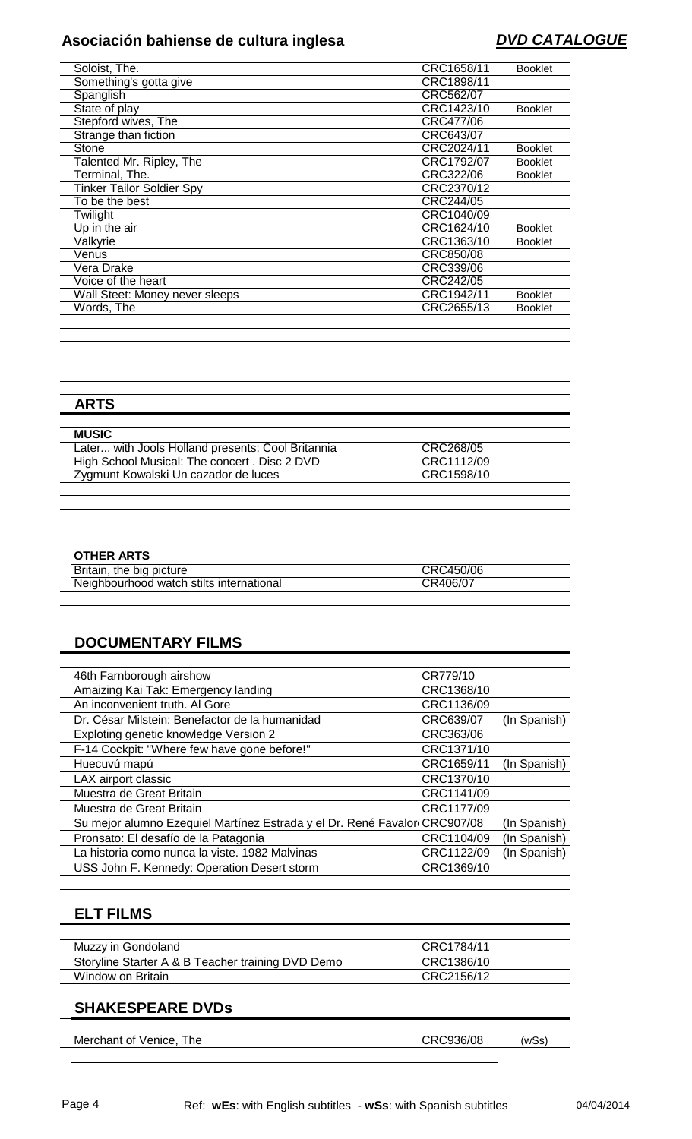# **Asociación bahiense de cultura inglesa DVD CATALOGUE**

| Soloist, The.                    | CRC1658/11 | <b>Booklet</b> |
|----------------------------------|------------|----------------|
| Something's gotta give           | CRC1898/11 |                |
| Spanglish                        | CRC562/07  |                |
| State of play                    | CRC1423/10 | <b>Booklet</b> |
| Stepford wives, The              | CRC477/06  |                |
| Strange than fiction             | CRC643/07  |                |
| Stone                            | CRC2024/11 | <b>Booklet</b> |
| Talented Mr. Ripley, The         | CRC1792/07 | <b>Booklet</b> |
| Terminal, The.                   | CRC322/06  | <b>Booklet</b> |
| <b>Tinker Tailor Soldier Spy</b> | CRC2370/12 |                |
| To be the best                   | CRC244/05  |                |
| Twilight                         | CRC1040/09 |                |
| Up in the air                    | CRC1624/10 | <b>Booklet</b> |
| Valkyrie                         | CRC1363/10 | <b>Booklet</b> |
| Venus                            | CRC850/08  |                |
| Vera Drake                       | CRC339/06  |                |
| Voice of the heart               | CRC242/05  |                |
| Wall Steet: Money never sleeps   | CRC1942/11 | <b>Booklet</b> |
| Words, The                       | CRC2655/13 | <b>Booklet</b> |
|                                  |            |                |

## **ARTS**

| <b>MUSIC</b>                                      |            |
|---------------------------------------------------|------------|
| Later with Jools Holland presents: Cool Britannia | CRC268/05  |
| High School Musical: The concert . Disc 2 DVD     | CRC1112/09 |
| Zygmunt Kowalski Un cazador de luces              | CRC1598/10 |
|                                                   |            |

### **OTHER ARTS**

| Britain, the big picture                 | CRC450/06 |  |
|------------------------------------------|-----------|--|
| Neighbourhood watch stilts international | CR406/07  |  |

### **DOCUMENTARY FILMS**

| 46th Farnborough airshow                                                  | CR779/10   |              |
|---------------------------------------------------------------------------|------------|--------------|
| Amaizing Kai Tak: Emergency landing                                       | CRC1368/10 |              |
| An inconvenient truth. Al Gore                                            | CRC1136/09 |              |
| Dr. César Milstein: Benefactor de la humanidad                            | CRC639/07  | (In Spanish) |
| Exploting genetic knowledge Version 2                                     | CRC363/06  |              |
| F-14 Cockpit: "Where few have gone before!"                               | CRC1371/10 |              |
| Huecuvú mapú                                                              | CRC1659/11 | (In Spanish) |
| LAX airport classic                                                       | CRC1370/10 |              |
| Muestra de Great Britain                                                  | CRC1141/09 |              |
| Muestra de Great Britain                                                  | CRC1177/09 |              |
| Su mejor alumno Ezequiel Martínez Estrada y el Dr. René Favalor CRC907/08 |            | (In Spanish) |
| Pronsato: El desafío de la Patagonia                                      | CRC1104/09 | (In Spanish) |
| La historia como nunca la viste. 1982 Malvinas                            | CRC1122/09 | (In Spanish) |
| USS John F. Kennedy: Operation Desert storm                               | CRC1369/10 |              |
|                                                                           |            |              |

### **ELT FILMS**

| Muzzy in Gondoland                                | CRC1784/11 |
|---------------------------------------------------|------------|
| Storyline Starter A & B Teacher training DVD Demo | CRC1386/10 |
| Window on Britain                                 | CRC2156/12 |
|                                                   |            |

### **SHAKESPEARE DVDs**

| Merchant of Venice, The | CRC936/08 | (wSs) |
|-------------------------|-----------|-------|
|                         |           |       |